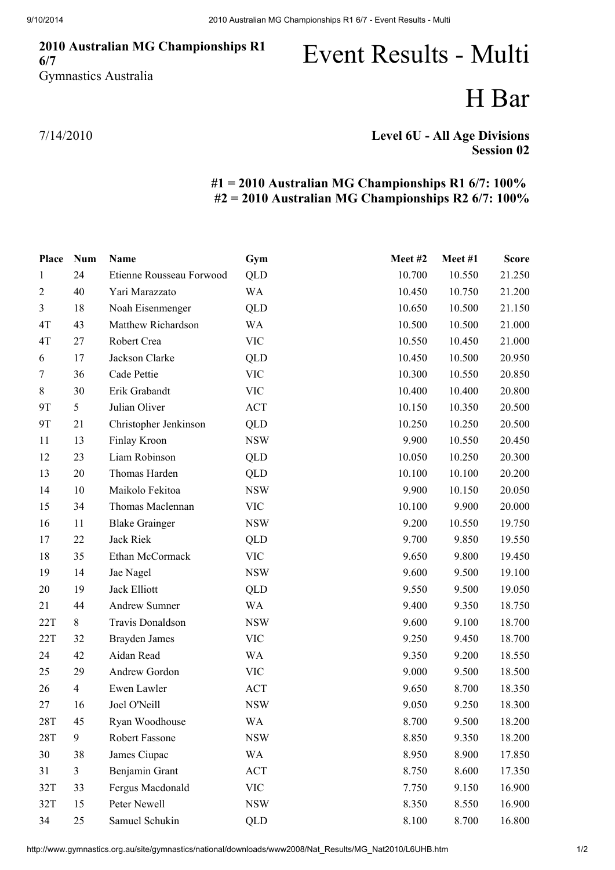### 2010 Australian MG Championships R1 6/7 Gymnastics Australia

# Event Results - Multi

## H Bar

7/14/2010

### Level 6U - All Age Divisions Session 02

#### #1 = 2010 Australian MG Championships R1 6/7: 100% #2 = 2010 Australian MG Championships R2 6/7: 100%

| Place          | <b>Num</b>     | Name                     | Gym        | Meet#2 | Meet #1 | <b>Score</b> |
|----------------|----------------|--------------------------|------------|--------|---------|--------------|
| 1              | 24             | Etienne Rousseau Forwood | QLD        | 10.700 | 10.550  | 21.250       |
| $\overline{2}$ | 40             | Yari Marazzato           | <b>WA</b>  | 10.450 | 10.750  | 21.200       |
| $\mathfrak{Z}$ | 18             | Noah Eisenmenger         | <b>QLD</b> | 10.650 | 10.500  | 21.150       |
| 4T             | 43             | Matthew Richardson       | <b>WA</b>  | 10.500 | 10.500  | 21.000       |
| 4T             | 27             | Robert Crea              | <b>VIC</b> | 10.550 | 10.450  | 21.000       |
| 6              | 17             | Jackson Clarke           | QLD        | 10.450 | 10.500  | 20.950       |
| $\tau$         | 36             | Cade Pettie              | <b>VIC</b> | 10.300 | 10.550  | 20.850       |
| $8\,$          | 30             | Erik Grabandt            | <b>VIC</b> | 10.400 | 10.400  | 20.800       |
| 9T             | 5              | Julian Oliver            | <b>ACT</b> | 10.150 | 10.350  | 20.500       |
| 9T             | 21             | Christopher Jenkinson    | QLD        | 10.250 | 10.250  | 20.500       |
| 11             | 13             | Finlay Kroon             | <b>NSW</b> | 9.900  | 10.550  | 20.450       |
| 12             | 23             | Liam Robinson            | QLD        | 10.050 | 10.250  | 20.300       |
| 13             | 20             | Thomas Harden            | QLD        | 10.100 | 10.100  | 20.200       |
| 14             | 10             | Maikolo Fekitoa          | <b>NSW</b> | 9.900  | 10.150  | 20.050       |
| 15             | 34             | Thomas Maclennan         | <b>VIC</b> | 10.100 | 9.900   | 20.000       |
| 16             | 11             | <b>Blake Grainger</b>    | <b>NSW</b> | 9.200  | 10.550  | 19.750       |
| 17             | 22             | Jack Riek                | <b>QLD</b> | 9.700  | 9.850   | 19.550       |
| 18             | 35             | Ethan McCormack          | <b>VIC</b> | 9.650  | 9.800   | 19.450       |
| 19             | 14             | Jae Nagel                | <b>NSW</b> | 9.600  | 9.500   | 19.100       |
| 20             | 19             | Jack Elliott             | QLD        | 9.550  | 9.500   | 19.050       |
| 21             | 44             | Andrew Sumner            | <b>WA</b>  | 9.400  | 9.350   | 18.750       |
| 22T            | 8              | Travis Donaldson         | <b>NSW</b> | 9.600  | 9.100   | 18.700       |
| 22T            | 32             | <b>Brayden James</b>     | <b>VIC</b> | 9.250  | 9.450   | 18.700       |
| 24             | 42             | Aidan Read               | <b>WA</b>  | 9.350  | 9.200   | 18.550       |
| 25             | 29             | Andrew Gordon            | <b>VIC</b> | 9.000  | 9.500   | 18.500       |
| 26             | $\overline{4}$ | Ewen Lawler              | <b>ACT</b> | 9.650  | 8.700   | 18.350       |
| 27             | 16             | Joel O'Neill             | <b>NSW</b> | 9.050  | 9.250   | 18.300       |
| <b>28T</b>     | 45             | Ryan Woodhouse           | WA         | 8.700  | 9.500   | 18.200       |
| <b>28T</b>     | 9              | Robert Fassone           | <b>NSW</b> | 8.850  | 9.350   | 18.200       |
| 30             | 38             | James Ciupac             | <b>WA</b>  | 8.950  | 8.900   | 17.850       |
| 31             | $\mathfrak{Z}$ | Benjamin Grant           | <b>ACT</b> | 8.750  | 8.600   | 17.350       |
| 32T            | 33             | Fergus Macdonald         | <b>VIC</b> | 7.750  | 9.150   | 16.900       |
| 32T            | 15             | Peter Newell             | <b>NSW</b> | 8.350  | 8.550   | 16.900       |
| 34             | 25             | Samuel Schukin           | <b>QLD</b> | 8.100  | 8.700   | 16.800       |